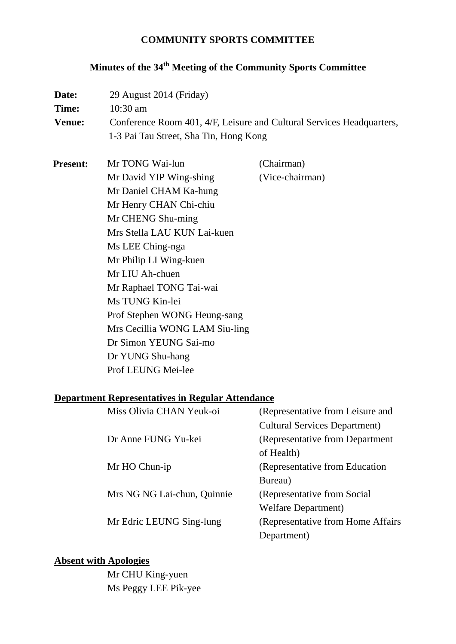### **COMMUNITY SPORTS COMMITTEE**

# **Minutes of the 34th Meeting of the Community Sports Committee**

| Date:           | 29 August 2014 (Friday)                                               |                      |  |  |
|-----------------|-----------------------------------------------------------------------|----------------------|--|--|
| Time:           | 10:30 am                                                              |                      |  |  |
| <b>Venue:</b>   | Conference Room 401, 4/F, Leisure and Cultural Services Headquarters, |                      |  |  |
|                 | 1-3 Pai Tau Street, Sha Tin, Hong Kong                                |                      |  |  |
| <b>Present:</b> | Mr TONG Wai-lun                                                       | (Chairman)           |  |  |
|                 | Mr David YIP Wing-shing                                               | (Vice-chairman)      |  |  |
|                 | Mr Daniel CHAM Ka-hung                                                |                      |  |  |
|                 | Mr Henry CHAN Chi-chiu                                                |                      |  |  |
|                 | Mr CHENG Shu-ming                                                     |                      |  |  |
|                 | Mrs Stella LAU KUN Lai-kuen                                           |                      |  |  |
|                 | Ms LEE Ching-nga                                                      |                      |  |  |
|                 | Mr Philip LI Wing-kuen                                                |                      |  |  |
|                 | Mr LIU Ah-chuen                                                       |                      |  |  |
|                 | Mr Raphael TONG Tai-wai                                               |                      |  |  |
|                 | Ms TUNG Kin-lei                                                       |                      |  |  |
|                 | Prof Stephen WONG Heung-sang                                          |                      |  |  |
|                 | Mrs Cecillia WONG LAM Siu-ling                                        |                      |  |  |
|                 | Dr Simon YEUNG Sai-mo                                                 |                      |  |  |
|                 | Dr YUNG Shu-hang                                                      |                      |  |  |
|                 | Prof LEUNG Mei-lee                                                    |                      |  |  |
|                 | <b>Department Representatives in Regular Attendance</b>               |                      |  |  |
|                 | $M! = \Omega! = \Omega$ . CILANI V. $-1 = 1$                          | $(D_1, \ldots, D_n)$ |  |  |

| Miss Olivia CHAN Yeuk-oi    | (Representative from Leisure and     |
|-----------------------------|--------------------------------------|
|                             | <b>Cultural Services Department)</b> |
| Dr Anne FUNG Yu-kei         | (Representative from Department      |
|                             | of Health)                           |
| Mr HO Chun-ip               | (Representative from Education)      |
|                             | Bureau)                              |
| Mrs NG NG Lai-chun, Quinnie | (Representative from Social)         |
|                             | <b>Welfare Department</b> )          |
| Mr Edric LEUNG Sing-lung    | (Representative from Home Affairs)   |
|                             | Department)                          |
|                             |                                      |

# **Absent with Apologies**

Mr CHU King-yuen Ms Peggy LEE Pik-yee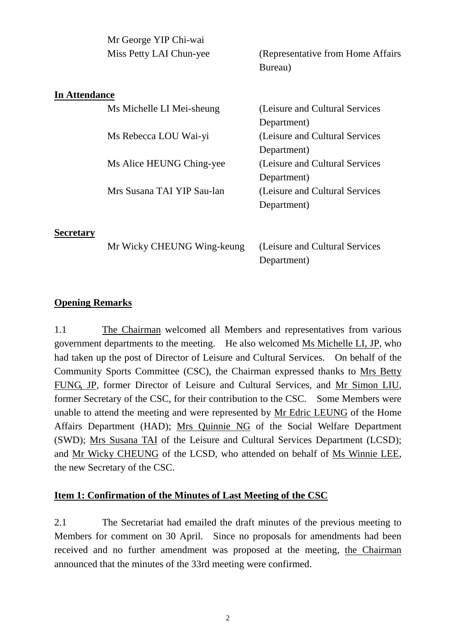|                      | Mr George YIP Chi-wai      |                                    |
|----------------------|----------------------------|------------------------------------|
|                      | Miss Petty LAI Chun-yee    | (Representative from Home Affairs) |
|                      |                            | Bureau)                            |
| <b>In Attendance</b> |                            |                                    |
|                      | Ms Michelle LI Mei-sheung  | (Leisure and Cultural Services)    |
|                      |                            | Department)                        |
|                      | Ms Rebecca LOU Wai-yi      | (Leisure and Cultural Services)    |
|                      |                            | Department)                        |
|                      | Ms Alice HEUNG Ching-yee   | (Leisure and Cultural Services)    |
|                      |                            | Department)                        |
|                      | Mrs Susana TAI YIP Sau-lan | (Leisure and Cultural Services)    |
|                      |                            | Department)                        |
|                      |                            |                                    |

**Secretary**

Mr Wicky CHEUNG Wing-keung (Leisure and Cultural Services

Department)

### **Opening Remarks**

1.1 The Chairman welcomed all Members and representatives from various government departments to the meeting. He also welcomed Ms Michelle LI, JP, who had taken up the post of Director of Leisure and Cultural Services. On behalf of the Community Sports Committee (CSC), the Chairman expressed thanks to Mrs Betty FUNG, JP, former Director of Leisure and Cultural Services, and Mr Simon LIU, former Secretary of the CSC, for their contribution to the CSC. Some Members were unable to attend the meeting and were represented by Mr Edric LEUNG of the Home Affairs Department (HAD); Mrs Quinnie NG of the Social Welfare Department (SWD); Mrs Susana TAI of the Leisure and Cultural Services Department (LCSD); and Mr Wicky CHEUNG of the LCSD, who attended on behalf of Ms Winnie LEE, the new Secretary of the CSC.

#### **Item 1: Confirmation of the Minutes of Last Meeting of the CSC**

2.1 The Secretariat had emailed the draft minutes of the previous meeting to Members for comment on 30 April. Since no proposals for amendments had been received and no further amendment was proposed at the meeting, the Chairman announced that the minutes of the 33rd meeting were confirmed.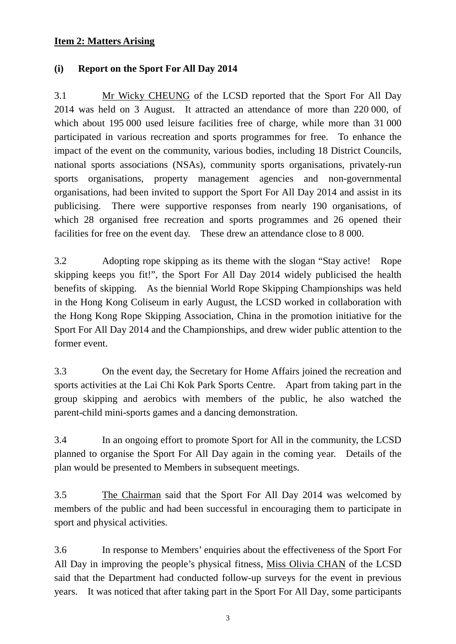### **Item 2: Matters Arising**

### **(i) Report on the Sport For All Day 2014**

3.1 Mr Wicky CHEUNG of the LCSD reported that the Sport For All Day 2014 was held on 3 August. It attracted an attendance of more than 220 000, of which about 195 000 used leisure facilities free of charge, while more than 31 000 participated in various recreation and sports programmes for free. To enhance the impact of the event on the community, various bodies, including 18 District Councils, national sports associations (NSAs), community sports organisations, privately-run sports organisations, property management agencies and non-governmental organisations, had been invited to support the Sport For All Day 2014 and assist in its publicising. There were supportive responses from nearly 190 organisations, of which 28 organised free recreation and sports programmes and 26 opened their facilities for free on the event day. These drew an attendance close to 8 000.

3.2 Adopting rope skipping as its theme with the slogan "Stay active! Rope skipping keeps you fit!", the Sport For All Day 2014 widely publicised the health benefits of skipping. As the biennial World Rope Skipping Championships was held in the Hong Kong Coliseum in early August, the LCSD worked in collaboration with the Hong Kong Rope Skipping Association, China in the promotion initiative for the Sport For All Day 2014 and the Championships, and drew wider public attention to the former event.

3.3 On the event day, the Secretary for Home Affairs joined the recreation and sports activities at the Lai Chi Kok Park Sports Centre. Apart from taking part in the group skipping and aerobics with members of the public, he also watched the parent-child mini-sports games and a dancing demonstration.

3.4 In an ongoing effort to promote Sport for All in the community, the LCSD planned to organise the Sport For All Day again in the coming year. Details of the plan would be presented to Members in subsequent meetings.

3.5 The Chairman said that the Sport For All Day 2014 was welcomed by members of the public and had been successful in encouraging them to participate in sport and physical activities.

3.6 In response to Members' enquiries about the effectiveness of the Sport For All Day in improving the people's physical fitness, Miss Olivia CHAN of the LCSD said that the Department had conducted follow-up surveys for the event in previous years. It was noticed that after taking part in the Sport For All Day, some participants

3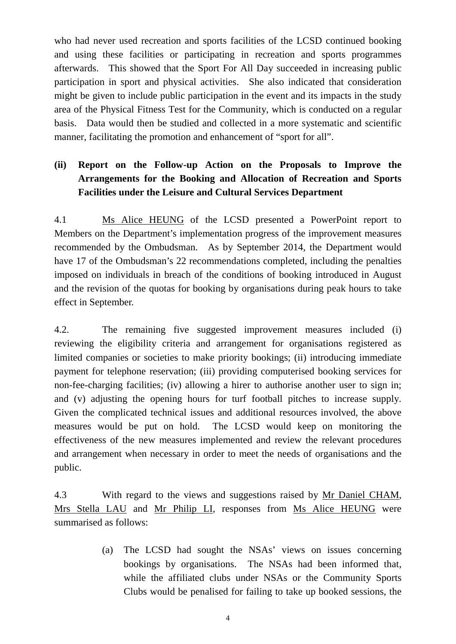who had never used recreation and sports facilities of the LCSD continued booking and using these facilities or participating in recreation and sports programmes afterwards. This showed that the Sport For All Day succeeded in increasing public participation in sport and physical activities. She also indicated that consideration might be given to include public participation in the event and its impacts in the study area of the Physical Fitness Test for the Community, which is conducted on a regular basis. Data would then be studied and collected in a more systematic and scientific manner, facilitating the promotion and enhancement of "sport for all".

# **(ii) Report on the Follow-up Action on the Proposals to Improve the Arrangements for the Booking and Allocation of Recreation and Sports Facilities under the Leisure and Cultural Services Department**

4.1 Ms Alice HEUNG of the LCSD presented a PowerPoint report to Members on the Department's implementation progress of the improvement measures recommended by the Ombudsman. As by September 2014, the Department would have 17 of the Ombudsman's 22 recommendations completed, including the penalties imposed on individuals in breach of the conditions of booking introduced in August and the revision of the quotas for booking by organisations during peak hours to take effect in September.

4.2. The remaining five suggested improvement measures included (i) reviewing the eligibility criteria and arrangement for organisations registered as limited companies or societies to make priority bookings; (ii) introducing immediate payment for telephone reservation; (iii) providing computerised booking services for non-fee-charging facilities; (iv) allowing a hirer to authorise another user to sign in; and (v) adjusting the opening hours for turf football pitches to increase supply. Given the complicated technical issues and additional resources involved, the above measures would be put on hold. The LCSD would keep on monitoring the effectiveness of the new measures implemented and review the relevant procedures and arrangement when necessary in order to meet the needs of organisations and the public.

4.3 With regard to the views and suggestions raised by Mr Daniel CHAM, Mrs Stella LAU and Mr Philip LI, responses from Ms Alice HEUNG were summarised as follows:

> (a) The LCSD had sought the NSAs' views on issues concerning bookings by organisations. The NSAs had been informed that, while the affiliated clubs under NSAs or the Community Sports Clubs would be penalised for failing to take up booked sessions, the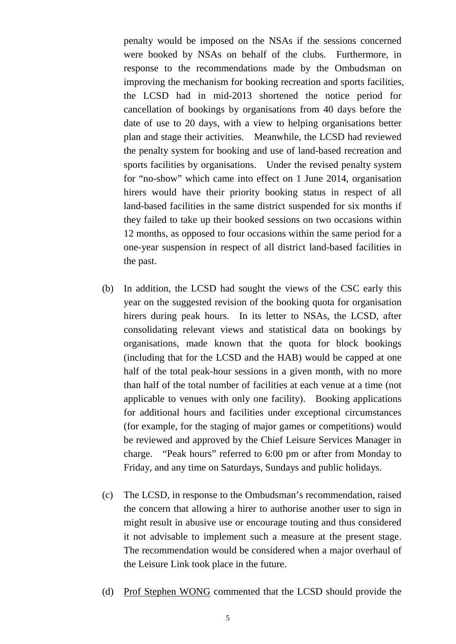penalty would be imposed on the NSAs if the sessions concerned were booked by NSAs on behalf of the clubs. Furthermore, in response to the recommendations made by the Ombudsman on improving the mechanism for booking recreation and sports facilities, the LCSD had in mid-2013 shortened the notice period for cancellation of bookings by organisations from 40 days before the date of use to 20 days, with a view to helping organisations better plan and stage their activities. Meanwhile, the LCSD had reviewed the penalty system for booking and use of land-based recreation and sports facilities by organisations. Under the revised penalty system for "no-show" which came into effect on 1 June 2014, organisation hirers would have their priority booking status in respect of all land-based facilities in the same district suspended for six months if they failed to take up their booked sessions on two occasions within 12 months, as opposed to four occasions within the same period for a one-year suspension in respect of all district land-based facilities in the past.

- (b) In addition, the LCSD had sought the views of the CSC early this year on the suggested revision of the booking quota for organisation hirers during peak hours. In its letter to NSAs, the LCSD, after consolidating relevant views and statistical data on bookings by organisations, made known that the quota for block bookings (including that for the LCSD and the HAB) would be capped at one half of the total peak-hour sessions in a given month, with no more than half of the total number of facilities at each venue at a time (not applicable to venues with only one facility). Booking applications for additional hours and facilities under exceptional circumstances (for example, for the staging of major games or competitions) would be reviewed and approved by the Chief Leisure Services Manager in charge. "Peak hours" referred to 6:00 pm or after from Monday to Friday, and any time on Saturdays, Sundays and public holidays.
- (c) The LCSD, in response to the Ombudsman's recommendation, raised the concern that allowing a hirer to authorise another user to sign in might result in abusive use or encourage touting and thus considered it not advisable to implement such a measure at the present stage. The recommendation would be considered when a major overhaul of the Leisure Link took place in the future.
- (d) Prof Stephen WONG commented that the LCSD should provide the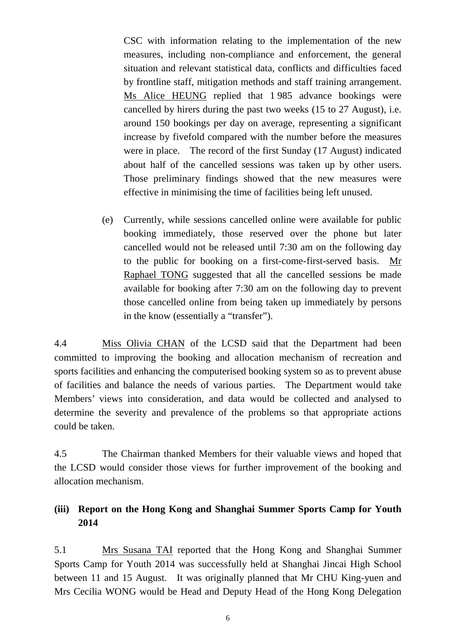CSC with information relating to the implementation of the new measures, including non-compliance and enforcement, the general situation and relevant statistical data, conflicts and difficulties faced by frontline staff, mitigation methods and staff training arrangement. Ms Alice HEUNG replied that 1 985 advance bookings were cancelled by hirers during the past two weeks (15 to 27 August), i.e. around 150 bookings per day on average, representing a significant increase by fivefold compared with the number before the measures were in place. The record of the first Sunday (17 August) indicated about half of the cancelled sessions was taken up by other users. Those preliminary findings showed that the new measures were effective in minimising the time of facilities being left unused.

(e) Currently, while sessions cancelled online were available for public booking immediately, those reserved over the phone but later cancelled would not be released until 7:30 am on the following day to the public for booking on a first-come-first-served basis. Mr Raphael TONG suggested that all the cancelled sessions be made available for booking after 7:30 am on the following day to prevent those cancelled online from being taken up immediately by persons in the know (essentially a "transfer").

4.4 Miss Olivia CHAN of the LCSD said that the Department had been committed to improving the booking and allocation mechanism of recreation and sports facilities and enhancing the computerised booking system so as to prevent abuse of facilities and balance the needs of various parties. The Department would take Members' views into consideration, and data would be collected and analysed to determine the severity and prevalence of the problems so that appropriate actions could be taken.

4.5 The Chairman thanked Members for their valuable views and hoped that the LCSD would consider those views for further improvement of the booking and allocation mechanism.

## **(iii) Report on the Hong Kong and Shanghai Summer Sports Camp for Youth 2014**

5.1 Mrs Susana TAI reported that the Hong Kong and Shanghai Summer Sports Camp for Youth 2014 was successfully held at Shanghai Jincai High School between 11 and 15 August. It was originally planned that Mr CHU King-yuen and Mrs Cecilia WONG would be Head and Deputy Head of the Hong Kong Delegation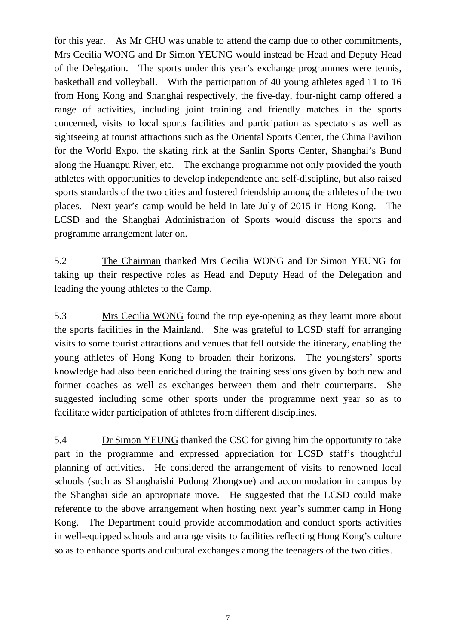for this year. As Mr CHU was unable to attend the camp due to other commitments, Mrs Cecilia WONG and Dr Simon YEUNG would instead be Head and Deputy Head of the Delegation. The sports under this year's exchange programmes were tennis, basketball and volleyball. With the participation of 40 young athletes aged 11 to 16 from Hong Kong and Shanghai respectively, the five-day, four-night camp offered a range of activities, including joint training and friendly matches in the sports concerned, visits to local sports facilities and participation as spectators as well as sightseeing at tourist attractions such as the Oriental Sports Center, the China Pavilion for the World Expo, the skating rink at the Sanlin Sports Center, Shanghai's Bund along the Huangpu River, etc. The exchange programme not only provided the youth athletes with opportunities to develop independence and self-discipline, but also raised sports standards of the two cities and fostered friendship among the athletes of the two places. Next year's camp would be held in late July of 2015 in Hong Kong. The LCSD and the Shanghai Administration of Sports would discuss the sports and programme arrangement later on.

5.2 The Chairman thanked Mrs Cecilia WONG and Dr Simon YEUNG for taking up their respective roles as Head and Deputy Head of the Delegation and leading the young athletes to the Camp.

5.3 Mrs Cecilia WONG found the trip eye-opening as they learnt more about the sports facilities in the Mainland. She was grateful to LCSD staff for arranging visits to some tourist attractions and venues that fell outside the itinerary, enabling the young athletes of Hong Kong to broaden their horizons. The youngsters' sports knowledge had also been enriched during the training sessions given by both new and former coaches as well as exchanges between them and their counterparts. She suggested including some other sports under the programme next year so as to facilitate wider participation of athletes from different disciplines.

5.4 Dr Simon YEUNG thanked the CSC for giving him the opportunity to take part in the programme and expressed appreciation for LCSD staff's thoughtful planning of activities. He considered the arrangement of visits to renowned local schools (such as Shanghaishi Pudong Zhongxue) and accommodation in campus by the Shanghai side an appropriate move. He suggested that the LCSD could make reference to the above arrangement when hosting next year's summer camp in Hong Kong. The Department could provide accommodation and conduct sports activities in well-equipped schools and arrange visits to facilities reflecting Hong Kong's culture so as to enhance sports and cultural exchanges among the teenagers of the two cities.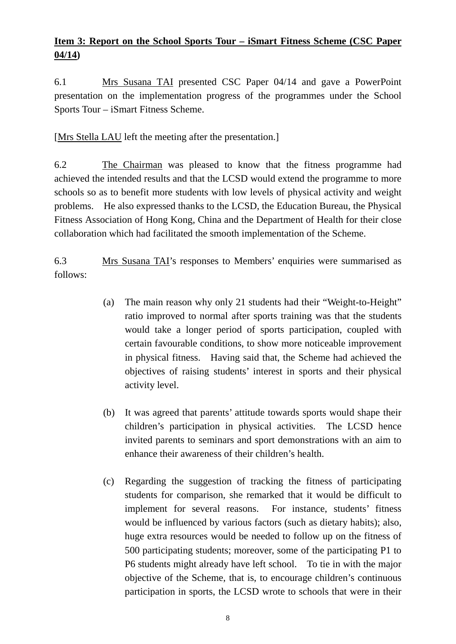# **Item 3: Report on the School Sports Tour – iSmart Fitness Scheme (CSC Paper 04/14)**

6.1 Mrs Susana TAI presented CSC Paper 04/14 and gave a PowerPoint presentation on the implementation progress of the programmes under the School Sports Tour – iSmart Fitness Scheme.

[Mrs Stella LAU left the meeting after the presentation.]

6.2 The Chairman was pleased to know that the fitness programme had achieved the intended results and that the LCSD would extend the programme to more schools so as to benefit more students with low levels of physical activity and weight problems. He also expressed thanks to the LCSD, the Education Bureau, the Physical Fitness Association of Hong Kong, China and the Department of Health for their close collaboration which had facilitated the smooth implementation of the Scheme.

6.3 Mrs Susana TAI's responses to Members' enquiries were summarised as follows:

- (a) The main reason why only 21 students had their "Weight-to-Height" ratio improved to normal after sports training was that the students would take a longer period of sports participation, coupled with certain favourable conditions, to show more noticeable improvement in physical fitness. Having said that, the Scheme had achieved the objectives of raising students' interest in sports and their physical activity level.
- (b) It was agreed that parents' attitude towards sports would shape their children's participation in physical activities. The LCSD hence invited parents to seminars and sport demonstrations with an aim to enhance their awareness of their children's health.
- (c) Regarding the suggestion of tracking the fitness of participating students for comparison, she remarked that it would be difficult to implement for several reasons. For instance, students' fitness would be influenced by various factors (such as dietary habits); also, huge extra resources would be needed to follow up on the fitness of 500 participating students; moreover, some of the participating P1 to P6 students might already have left school. To tie in with the major objective of the Scheme, that is, to encourage children's continuous participation in sports, the LCSD wrote to schools that were in their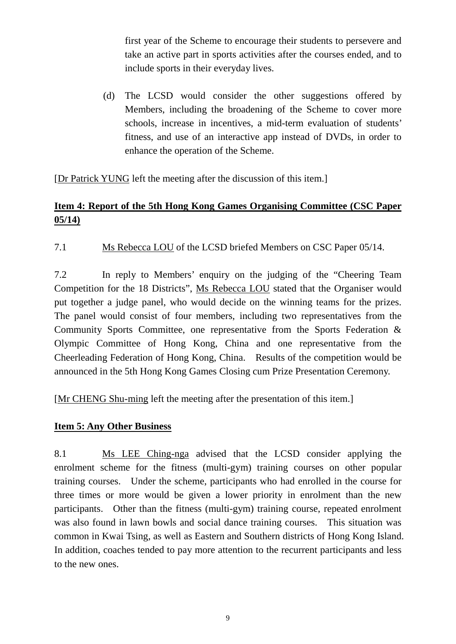first year of the Scheme to encourage their students to persevere and take an active part in sports activities after the courses ended, and to include sports in their everyday lives.

(d) The LCSD would consider the other suggestions offered by Members, including the broadening of the Scheme to cover more schools, increase in incentives, a mid-term evaluation of students' fitness, and use of an interactive app instead of DVDs, in order to enhance the operation of the Scheme.

[Dr Patrick YUNG left the meeting after the discussion of this item.]

# **Item 4: Report of the 5th Hong Kong Games Organising Committee (CSC Paper 05/14)**

7.1 Ms Rebecca LOU of the LCSD briefed Members on CSC Paper 05/14.

7.2 In reply to Members' enquiry on the judging of the "Cheering Team Competition for the 18 Districts", Ms Rebecca LOU stated that the Organiser would put together a judge panel, who would decide on the winning teams for the prizes. The panel would consist of four members, including two representatives from the Community Sports Committee, one representative from the Sports Federation & Olympic Committee of Hong Kong, China and one representative from the Cheerleading Federation of Hong Kong, China. Results of the competition would be announced in the 5th Hong Kong Games Closing cum Prize Presentation Ceremony.

[Mr CHENG Shu-ming left the meeting after the presentation of this item.]

#### **Item 5: Any Other Business**

8.1 Ms LEE Ching-nga advised that the LCSD consider applying the enrolment scheme for the fitness (multi-gym) training courses on other popular training courses. Under the scheme, participants who had enrolled in the course for three times or more would be given a lower priority in enrolment than the new participants. Other than the fitness (multi-gym) training course, repeated enrolment was also found in lawn bowls and social dance training courses. This situation was common in Kwai Tsing, as well as Eastern and Southern districts of Hong Kong Island. In addition, coaches tended to pay more attention to the recurrent participants and less to the new ones.